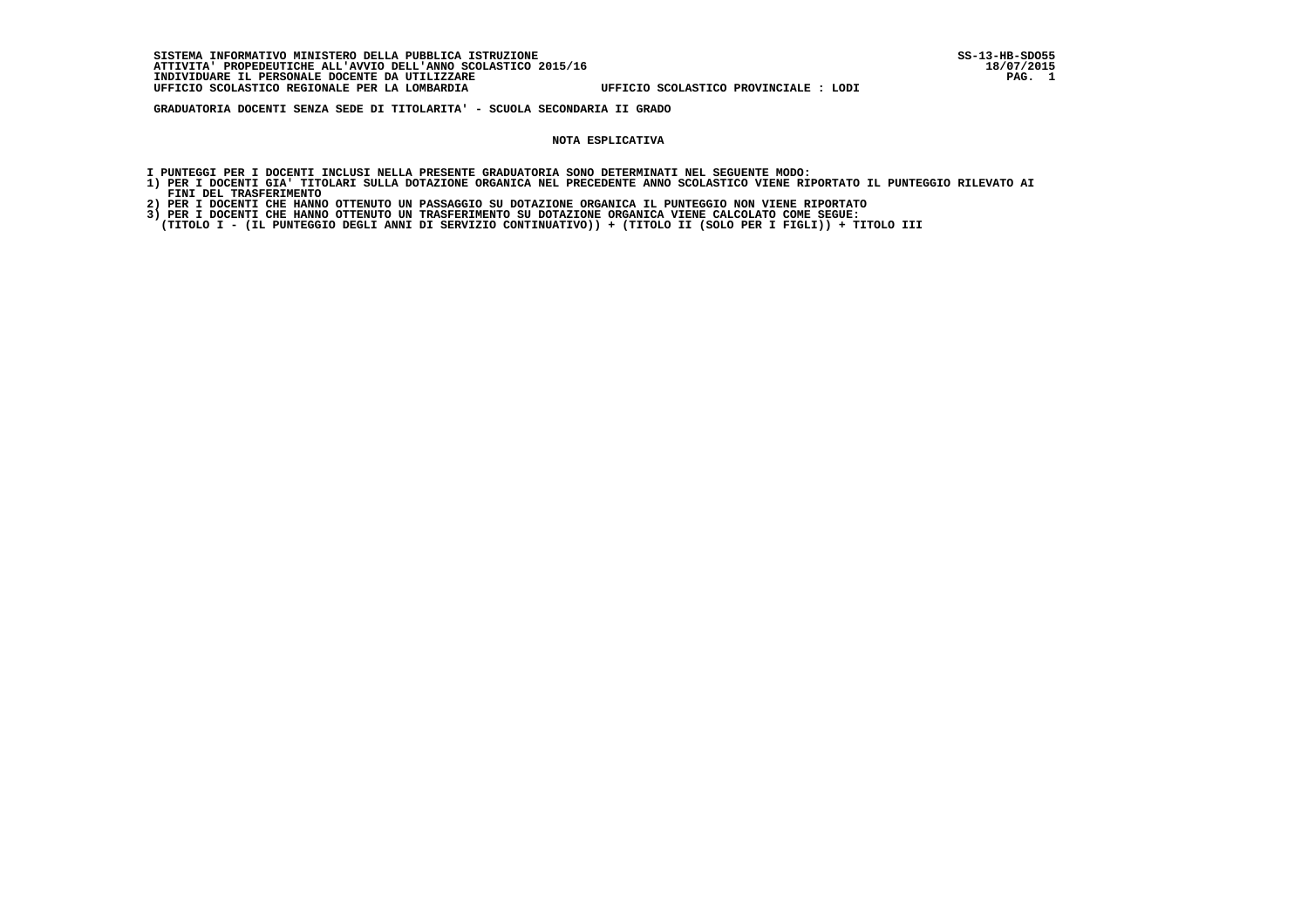**SISTEMA INFORMATIVO MINISTERO DELLA PUBBLICA ISTRUZIONE SS-13-HB-SDO55 ATTIVITA' PROPEDEUTICHE ALL'AVVIO DELL'ANNO SCOLASTICO 2015/16 18/07/2015**INDIVIDUARE IL PERSONALE DOCENTE DA UTILIZZARE  **UFFICIO SCOLASTICO REGIONALE PER LA LOMBARDIA UFFICIO SCOLASTICO PROVINCIALE : LODI**

 **GRADUATORIA DOCENTI SENZA SEDE DI TITOLARITA' - SCUOLA SECONDARIA II GRADO**

#### **NOTA ESPLICATIVA**

- **I PUNTEGGI PER I DOCENTI INCLUSI NELLA PRESENTE GRADUATORIA SONO DETERMINATI NEL SEGUENTE MODO:**
- **1) PER I DOCENTI GIA' TITOLARI SULLA DOTAZIONE ORGANICA NEL PRECEDENTE ANNO SCOLASTICO VIENE RIPORTATO IL PUNTEGGIO RILEVATO AI FINI DEL TRASFERIMENTO**
- **2) PER I DOCENTI CHE HANNO OTTENUTO UN PASSAGGIO SU DOTAZIONE ORGANICA IL PUNTEGGIO NON VIENE RIPORTATO**
- **3) PER I DOCENTI CHE HANNO OTTENUTO UN TRASFERIMENTO SU DOTAZIONE ORGANICA VIENE CALCOLATO COME SEGUE:**
- **(TITOLO I (IL PUNTEGGIO DEGLI ANNI DI SERVIZIO CONTINUATIVO)) + (TITOLO II (SOLO PER I FIGLI)) + TITOLO III**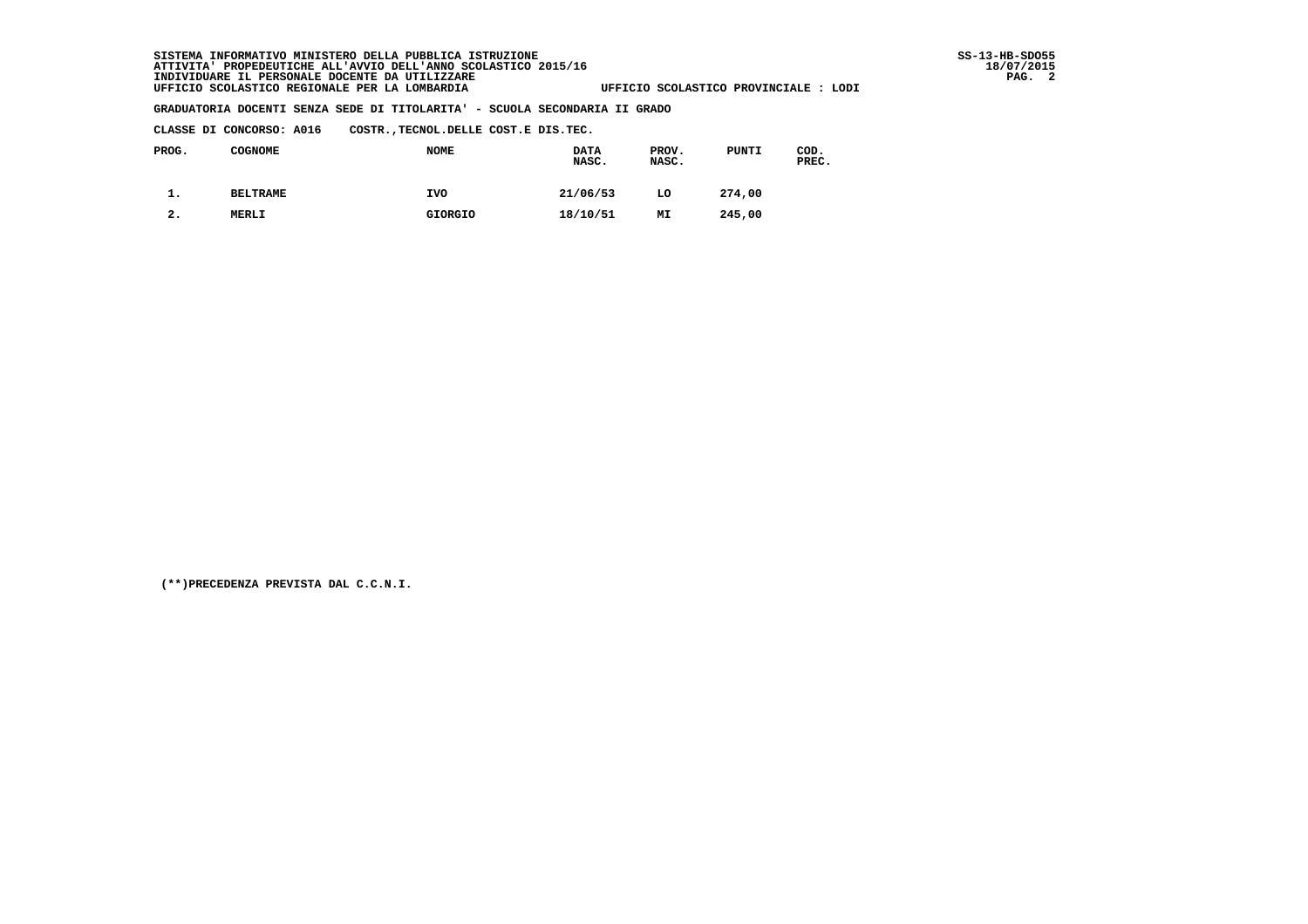**CLASSE DI CONCORSO: A016 COSTR.,TECNOL.DELLE COST.E DIS.TEC.**

| PROG. | <b>COGNOME</b>  | <b>NOME</b>    | <b>DATA</b><br>NASC. | PROV.<br>NASC. | PUNTI  | COD.<br>PREC. |
|-------|-----------------|----------------|----------------------|----------------|--------|---------------|
| . ـ   | <b>BELTRAME</b> | <b>IVO</b>     | 21/06/53             | LO             | 274,00 |               |
| 2.    | <b>MERLI</b>    | <b>GIORGIO</b> | 18/10/51             | MI             | 245,00 |               |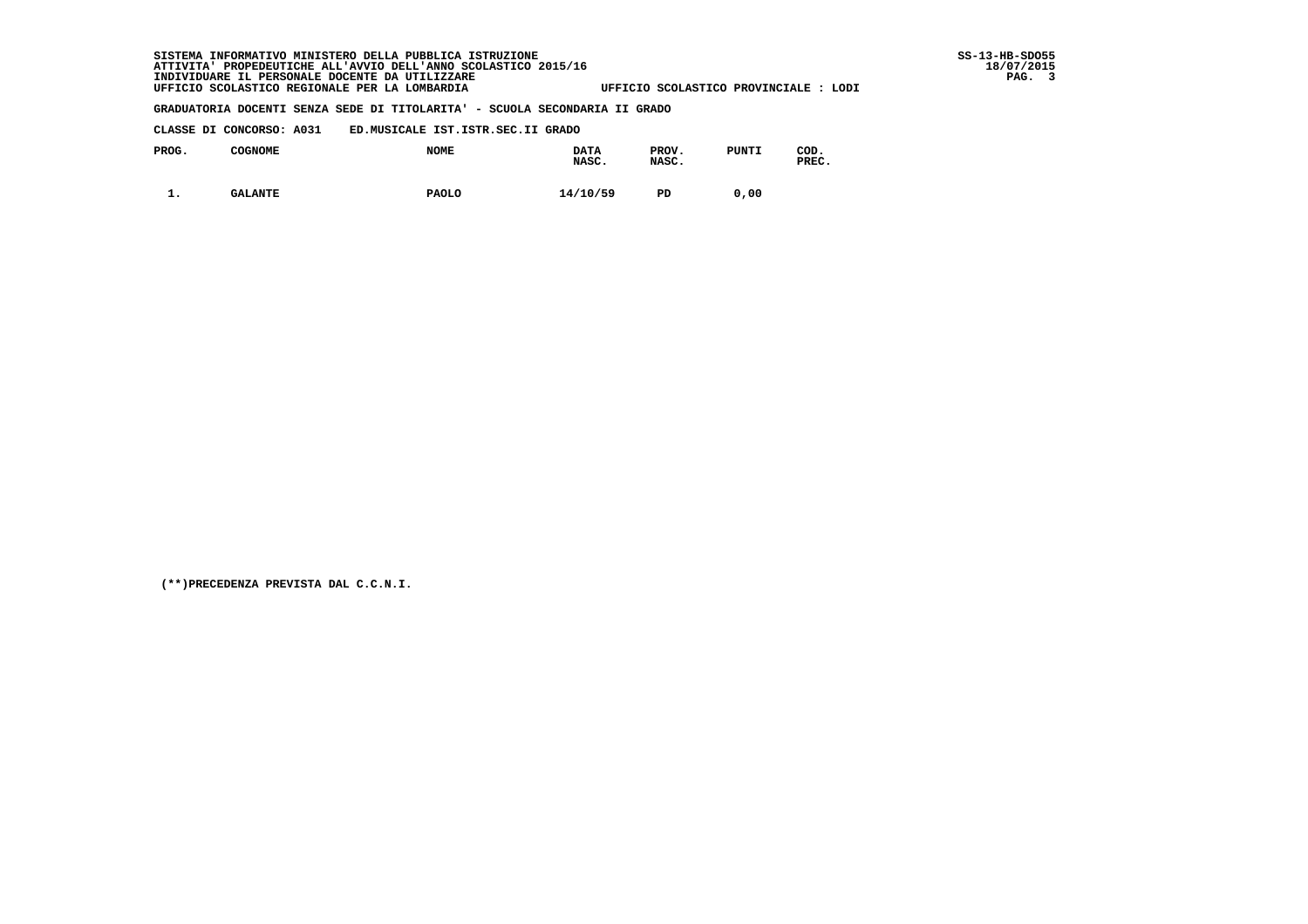#### **CLASSE DI CONCORSO: A031 ED.MUSICALE IST.ISTR.SEC.II GRADO**

| PROG. | COGNOME        | <b>NOME</b>  | <b>DATA</b><br>NASC. | PROV.<br>NASC. | <b>PUNTI</b> | COD.<br>PREC. |
|-------|----------------|--------------|----------------------|----------------|--------------|---------------|
| . .   | <b>GALANTE</b> | <b>PAOLO</b> | 14/10/59             | PD             | 0.00         |               |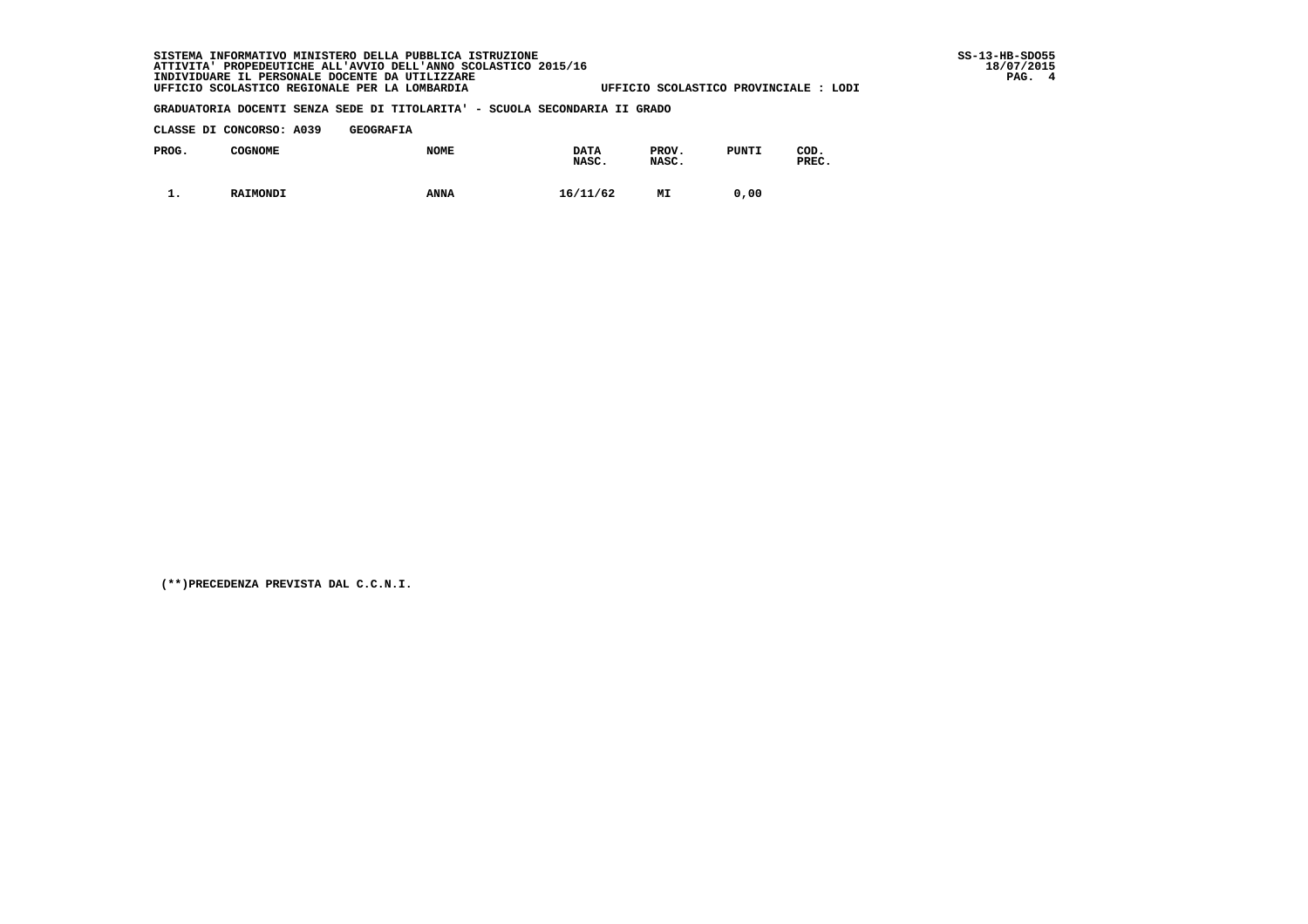#### **CLASSE DI CONCORSO: A039 GEOGRAFIA**

| PROG. | <b>COGNOME</b> | <b>NOME</b> | <b>DATA</b><br>NASC. | PROV.<br>NASC. | <b>PUNTI</b> | COD.<br>PREC. |
|-------|----------------|-------------|----------------------|----------------|--------------|---------------|
| . .   | RAIMONDI       | <b>ANNA</b> | 16/11/62             | МI             | 0,00         |               |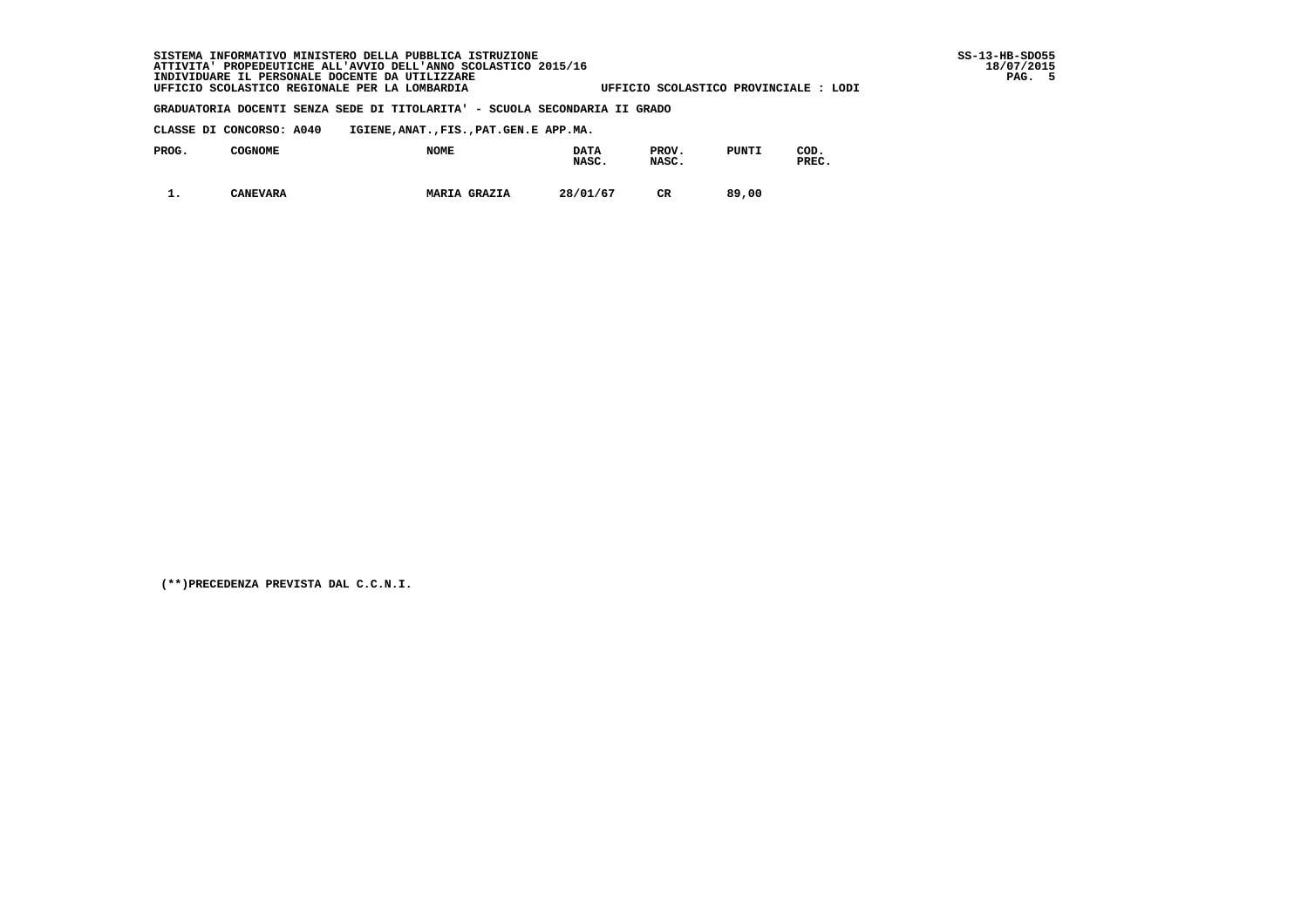# **SISTEMA INFORMATIVO MINISTERO DELLA PUBBLICA ISTRUZIONE SS-13-HB-SDO55 ATTIVITA' PROPEDEUTICHE ALL'AVVIO DELL'ANNO SCOLASTICO 2015/16 18/07/2015 INDIVIDUARE IL PERSONALE DOCENTE DA UTILIZZARE PAG. 5 UFFICIO SCOLASTICO REGIONALE PER LA LOMBARDIA UFFICIO SCOLASTICO PROVINCIALE : LODI**

#### **GRADUATORIA DOCENTI SENZA SEDE DI TITOLARITA' - SCUOLA SECONDARIA II GRADO**

 **CLASSE DI CONCORSO: A040 IGIENE,ANAT.,FIS.,PAT.GEN.E APP.MA.**

| PROG. | COGNOME         | <b>NOME</b>         | <b>DATA</b><br>NASC. | PROV.<br>NASC. | PUNTI | COD.<br>PREC. |
|-------|-----------------|---------------------|----------------------|----------------|-------|---------------|
| . .   | <b>CANEVARA</b> | <b>MARIA GRAZIA</b> | 28/01/67             | CR             | 89,00 |               |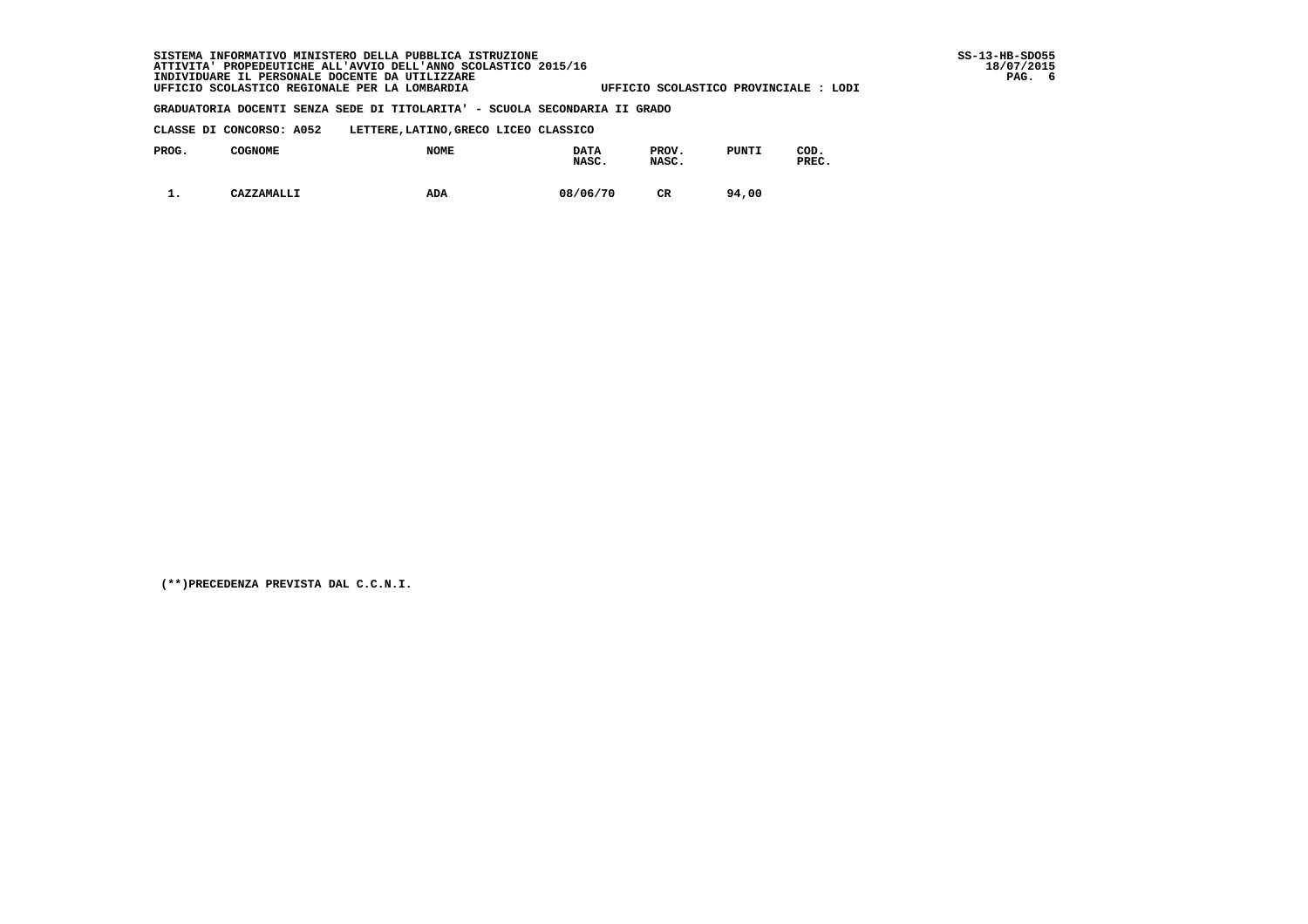**CLASSE DI CONCORSO: A052 LETTERE,LATINO,GRECO LICEO CLASSICO**

| PROG. | <b>COGNOME</b> | <b>NOME</b> | <b>DATA</b><br>NASC. | PROV.<br>NASC. | <b>PUNTI</b> | COD.<br>PREC. |
|-------|----------------|-------------|----------------------|----------------|--------------|---------------|
| . .   | CAZZAMALLI     | ADA         | 08/06/70             | CR             | 94,00        |               |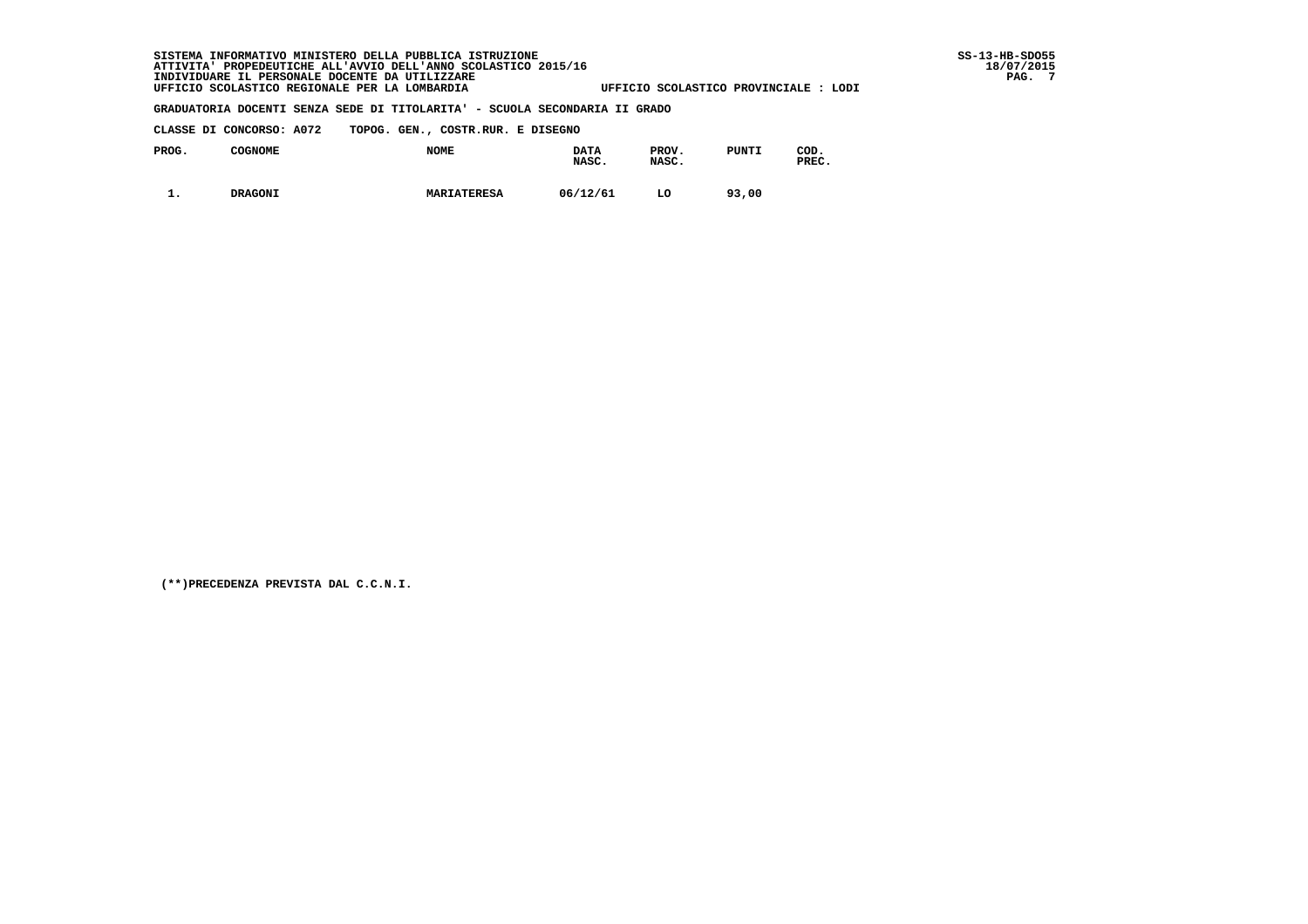# **SISTEMA INFORMATIVO MINISTERO DELLA PUBBLICA ISTRUZIONE SS-13-HB-SDO55 ATTIVITA' PROPEDEUTICHE ALL'AVVIO DELL'ANNO SCOLASTICO 2015/16 18/07/2015 INDIVIDUARE IL PERSONALE DOCENTE DA UTILIZZARE PAG. 7 UFFICIO SCOLASTICO REGIONALE PER LA LOMBARDIA UFFICIO SCOLASTICO PROVINCIALE : LODI**

### **GRADUATORIA DOCENTI SENZA SEDE DI TITOLARITA' - SCUOLA SECONDARIA II GRADO**

 **CLASSE DI CONCORSO: A072 TOPOG. GEN., COSTR.RUR. E DISEGNO**

| PROG.      | COGNOME        | <b>NOME</b>        | <b>DATA</b><br>NASC. | PROV.<br>NASC. | <b>PUNTI</b> | COD.<br>PREC. |
|------------|----------------|--------------------|----------------------|----------------|--------------|---------------|
| <b>. .</b> | <b>DRAGONI</b> | <b>MARIATERESA</b> | 06/12/61             | LO             | 93,00        |               |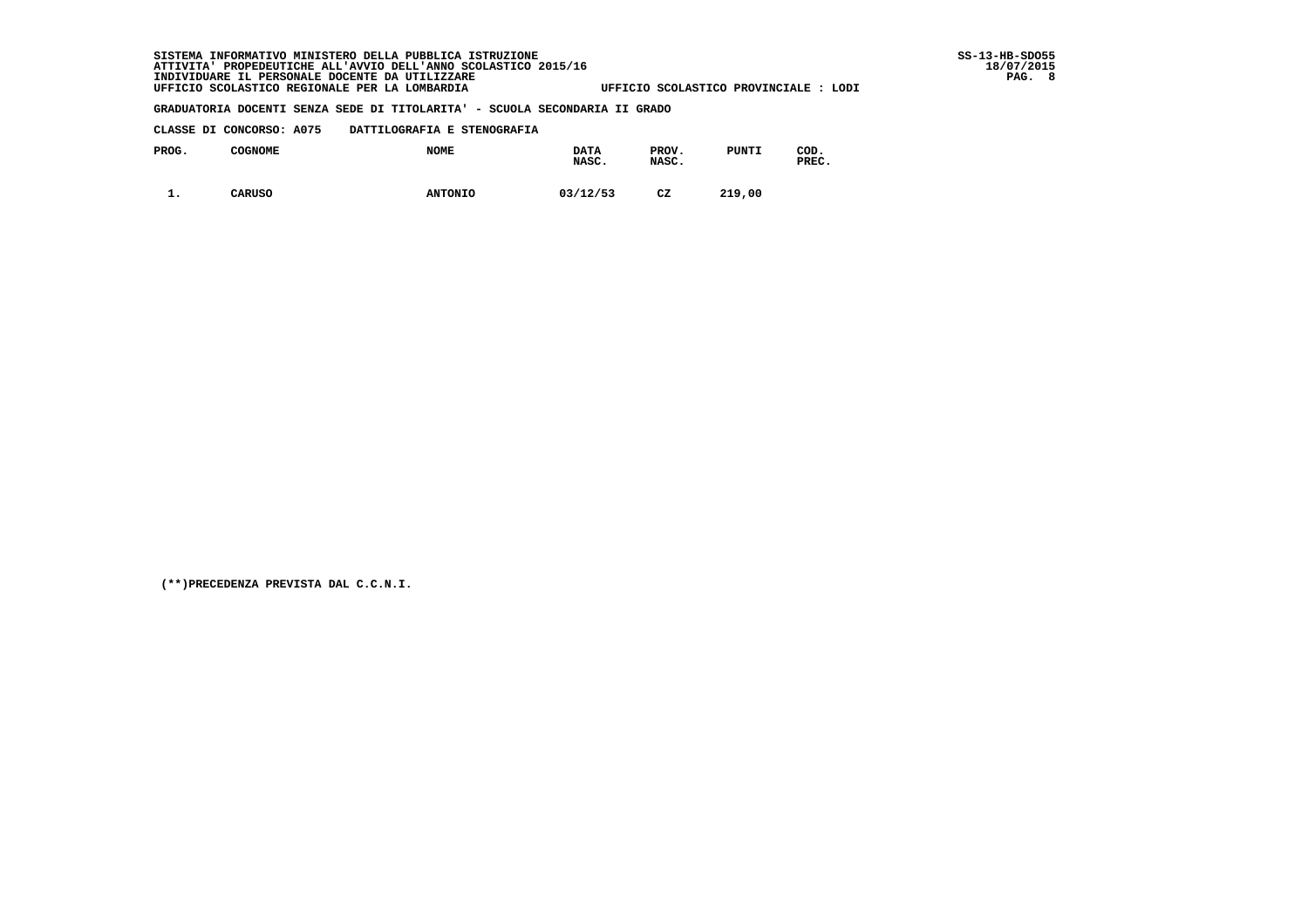#### **CLASSE DI CONCORSO: A075 DATTILOGRAFIA E STENOGRAFIA**

| PROG.    | <b>COGNOME</b> | <b>NOME</b>    | <b>DATA</b><br>NASC. | PROV.<br>NASC. | PUNTI  | COD.<br>PREC. |
|----------|----------------|----------------|----------------------|----------------|--------|---------------|
| <b>.</b> | <b>CARUSO</b>  | <b>ANTONIO</b> | 03/12/53             | CZ             | 219,00 |               |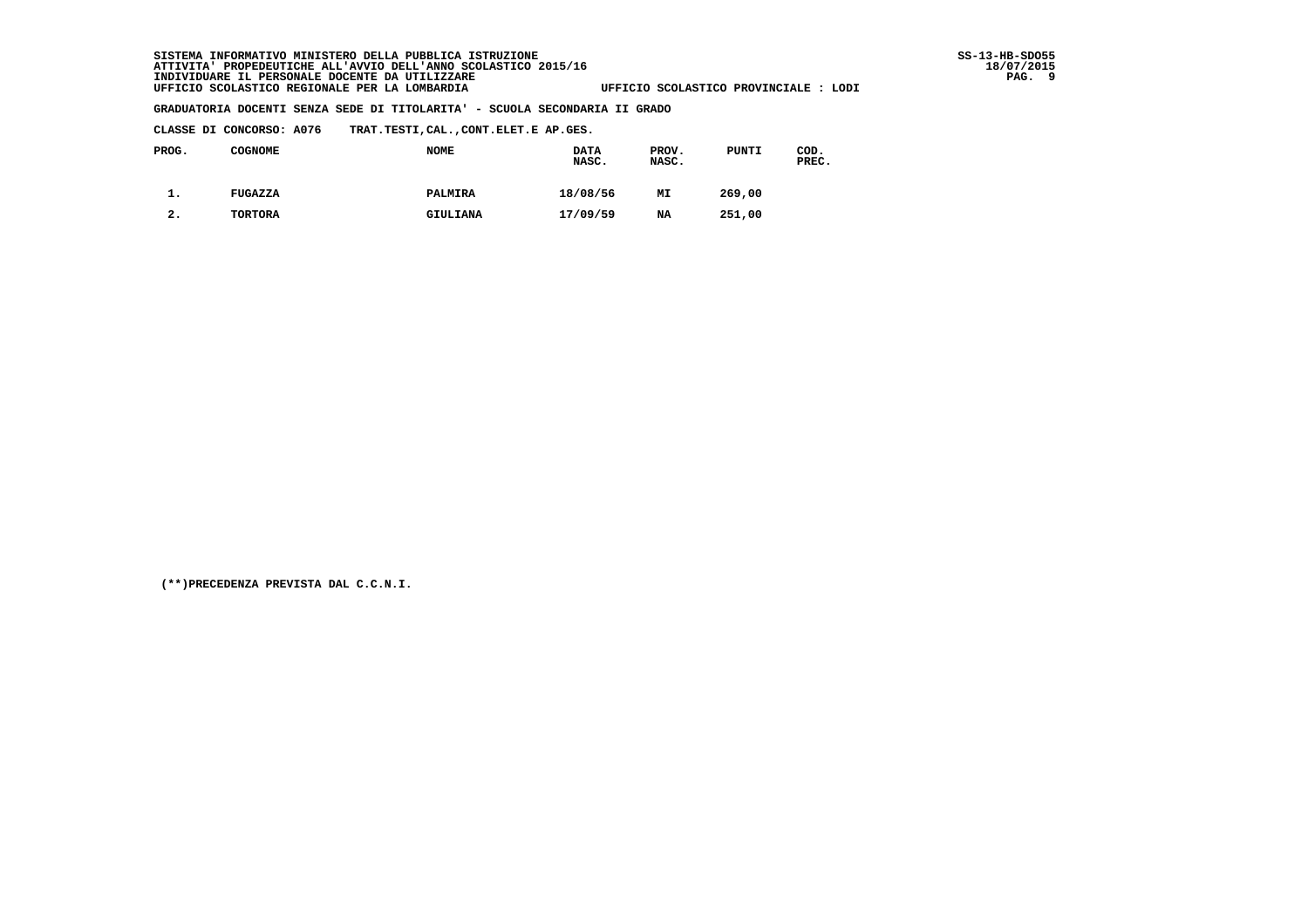**CLASSE DI CONCORSO: A076 TRAT.TESTI,CAL.,CONT.ELET.E AP.GES.**

| PROG. | <b>COGNOME</b> | <b>NOME</b> | <b>DATA</b><br>NASC. | PROV.<br>NASC. | PUNTI  | COD.<br>PREC. |
|-------|----------------|-------------|----------------------|----------------|--------|---------------|
| . ـ   | FUGAZZA        | PALMIRA     | 18/08/56             | MI             | 269,00 |               |
| 2.    | TORTORA        | GIULIANA    | 17/09/59             | NA             | 251,00 |               |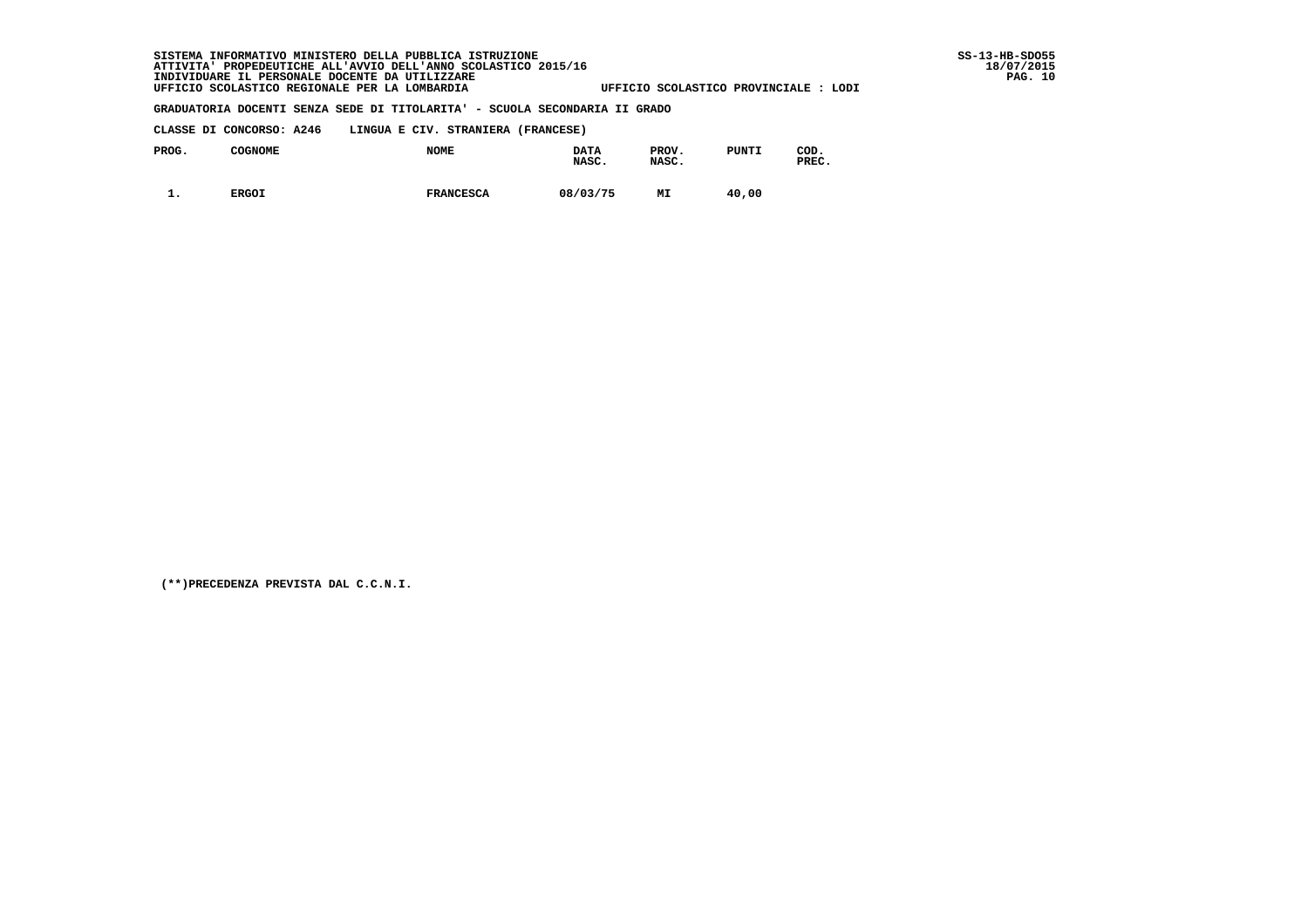**CLASSE DI CONCORSO: A246 LINGUA E CIV. STRANIERA (FRANCESE)**

| PROG.    | COGNOME      | <b>NOME</b>      | <b>DATA</b><br>NASC. | PROV.<br>NASC. | PUNTI | COD.<br>PREC. |
|----------|--------------|------------------|----------------------|----------------|-------|---------------|
| <b>.</b> | <b>ERGOI</b> | <b>FRANCESCA</b> | 08/03/75             | МI             | 40,00 |               |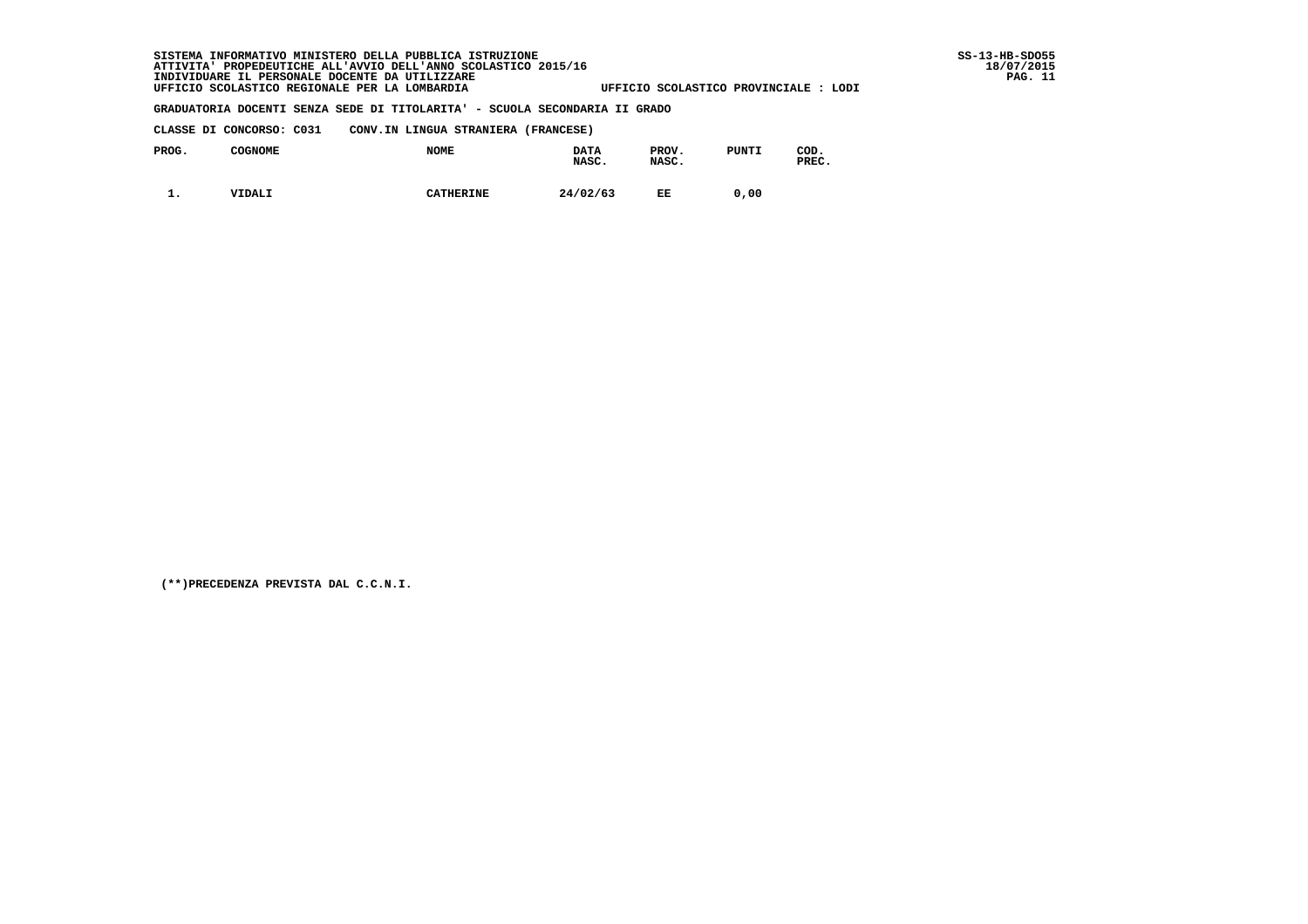# SISTEMA INFORMATIVO MINISTERO DELLA PUBBLICA ISTRUZIONE<br>ATTIVITA' PROPEDEUTICHE ALL'AVVIO DELL'ANNO SCOLASTICO 2015/16<br>INDIVIDUARE IL PERSONALE DOCENTE DA UTILIZZARE<br>UFFICIO SCOLASTICO REGIONALE PER LA LOMBARDIA

#### **GRADUATORIA DOCENTI SENZA SEDE DI TITOLARITA' - SCUOLA SECONDARIA II GRADO**

| CLASSE DI CONCORSO: C031 |  | CONV.IN LINGUA STRANIERA (FRANCESE) |  |
|--------------------------|--|-------------------------------------|--|
|                          |  |                                     |  |

| PROG. | <b>COGNOME</b> | <b>NOME</b>      | <b>DATA</b><br>NASC. | PROV.<br>NASC. | PUNTI | COD.<br>PREC. |
|-------|----------------|------------------|----------------------|----------------|-------|---------------|
| . .   | <b>VIDALI</b>  | <b>CATHERINE</b> | 24/02/63             | EE             | 0.00  |               |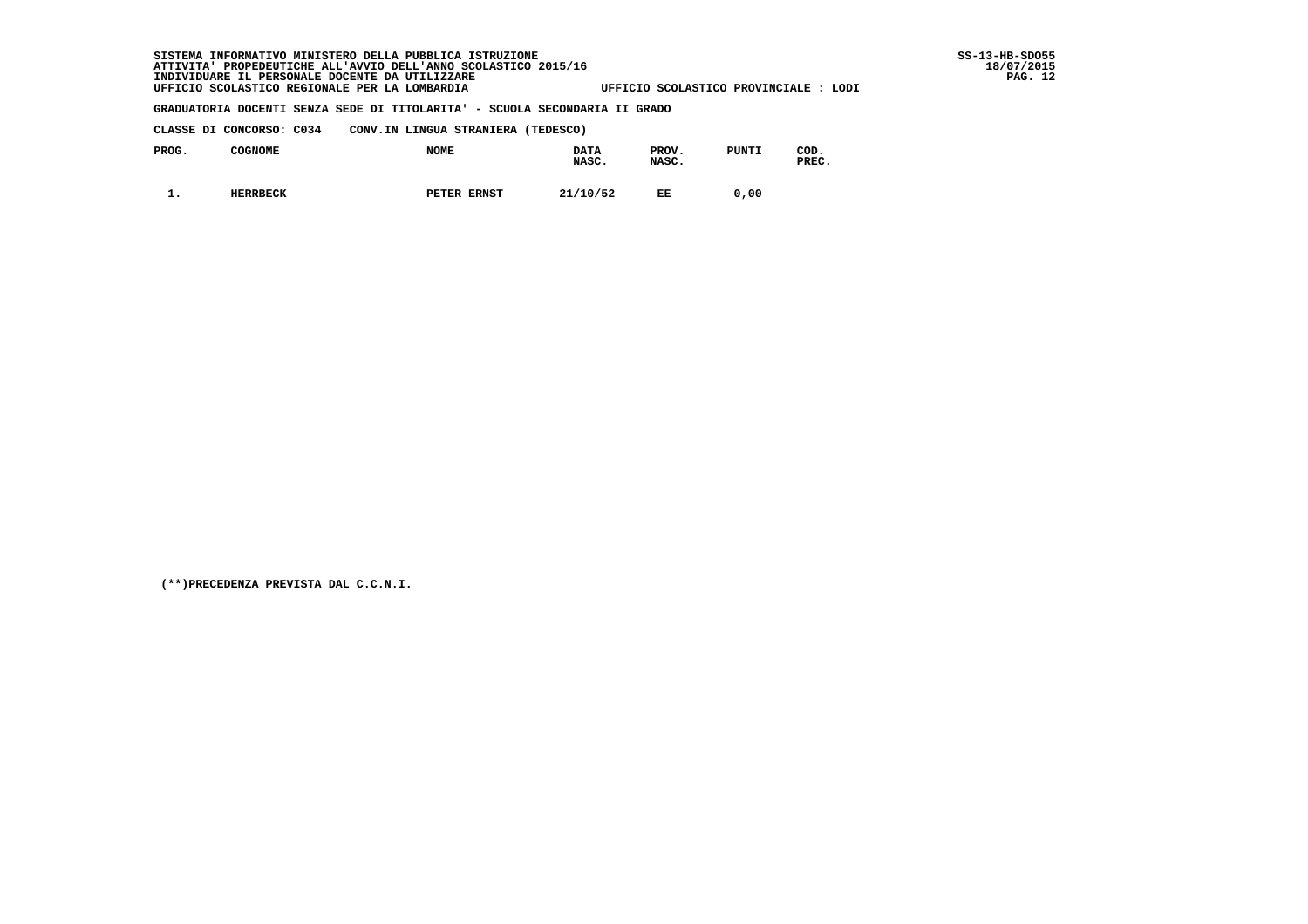**CLASSE DI CONCORSO: C034 CONV.IN LINGUA STRANIERA (TEDESCO)**

| PROG. | <b>COGNOME</b>  | <b>NOME</b> | <b>DATA</b><br>NASC. | PROV.<br>NASC. | PUNTI | COD.<br>PREC. |
|-------|-----------------|-------------|----------------------|----------------|-------|---------------|
| . .   | <b>HERRBECK</b> | PETER ERNST | 21/10/52             | EE             | 0.00  |               |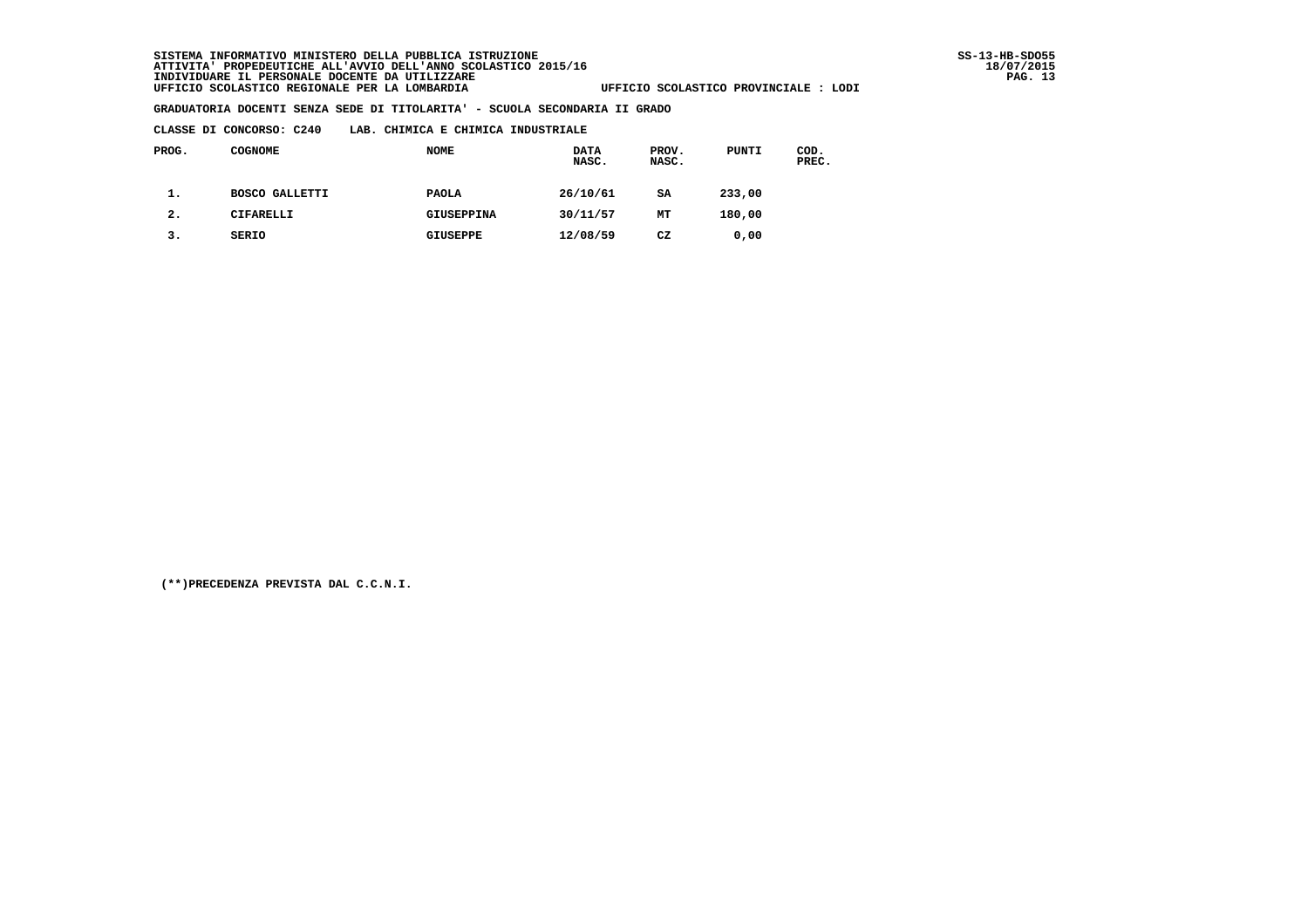#### **CLASSE DI CONCORSO: C240 LAB. CHIMICA E CHIMICA INDUSTRIALE**

| PROG.          | <b>COGNOME</b>        | <b>NOME</b>       | <b>DATA</b><br>NASC. | PROV.<br>NASC. | PUNTI  | COD.<br>PREC. |
|----------------|-----------------------|-------------------|----------------------|----------------|--------|---------------|
| ı.             | <b>BOSCO GALLETTI</b> | <b>PAOLA</b>      | 26/10/61             | SA             | 233,00 |               |
| $\mathbf{2}$ . | CIFARELLI             | <b>GIUSEPPINA</b> | 30/11/57             | MТ             | 180,00 |               |
| з.             | SERIO                 | <b>GIUSEPPE</b>   | 12/08/59             | CZ             | 0.00   |               |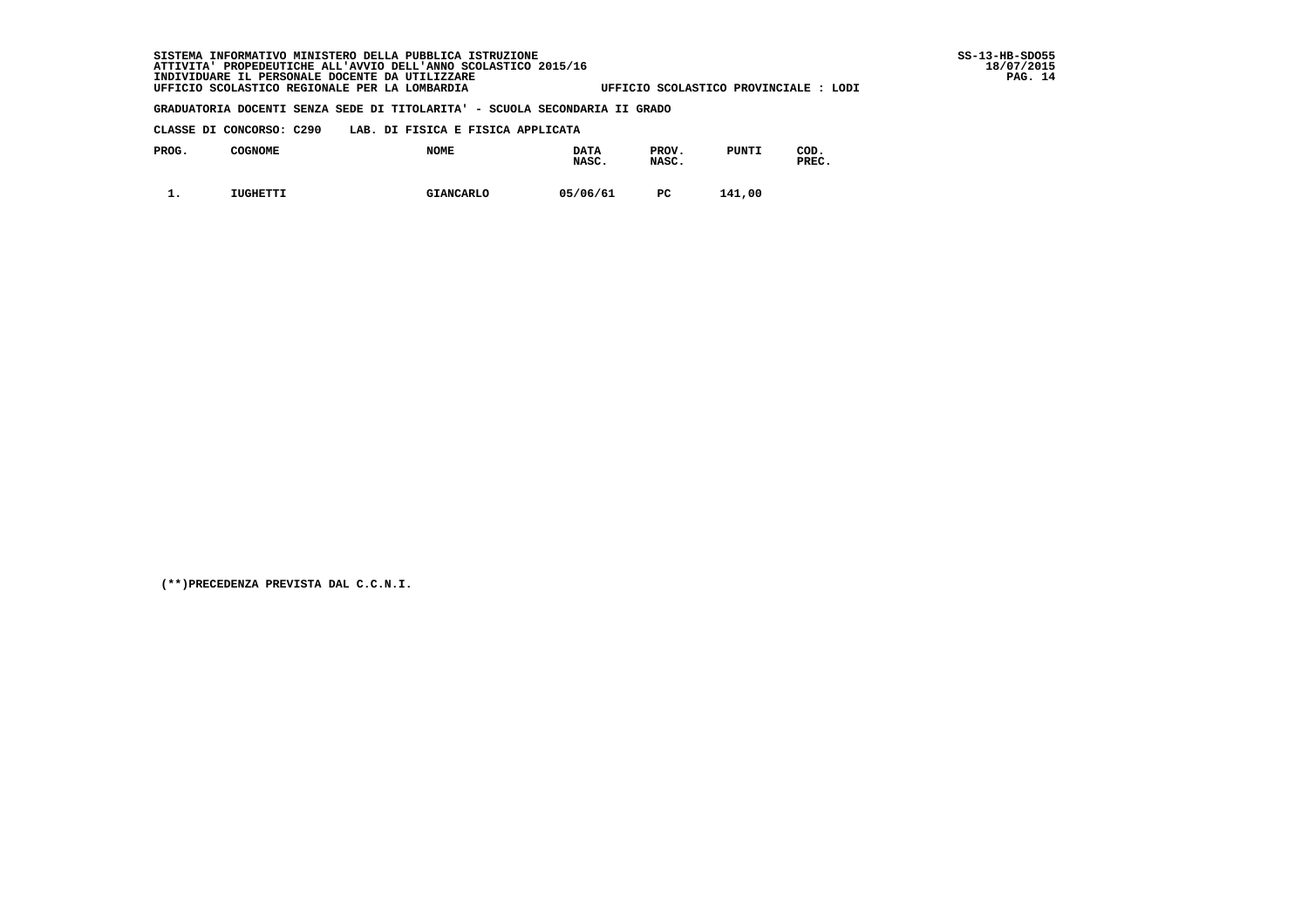**CLASSE DI CONCORSO: C290 LAB. DI FISICA E FISICA APPLICATA**

| PROG.    | <b>COGNOME</b> | <b>NOME</b>      | <b>DATA</b><br>NASC. | PROV.<br>NASC. | PUNTI  | COD.<br>PREC. |
|----------|----------------|------------------|----------------------|----------------|--------|---------------|
| <b>.</b> | IUGHETTI       | <b>GIANCARLO</b> | 05/06/61             | РC             | 141,00 |               |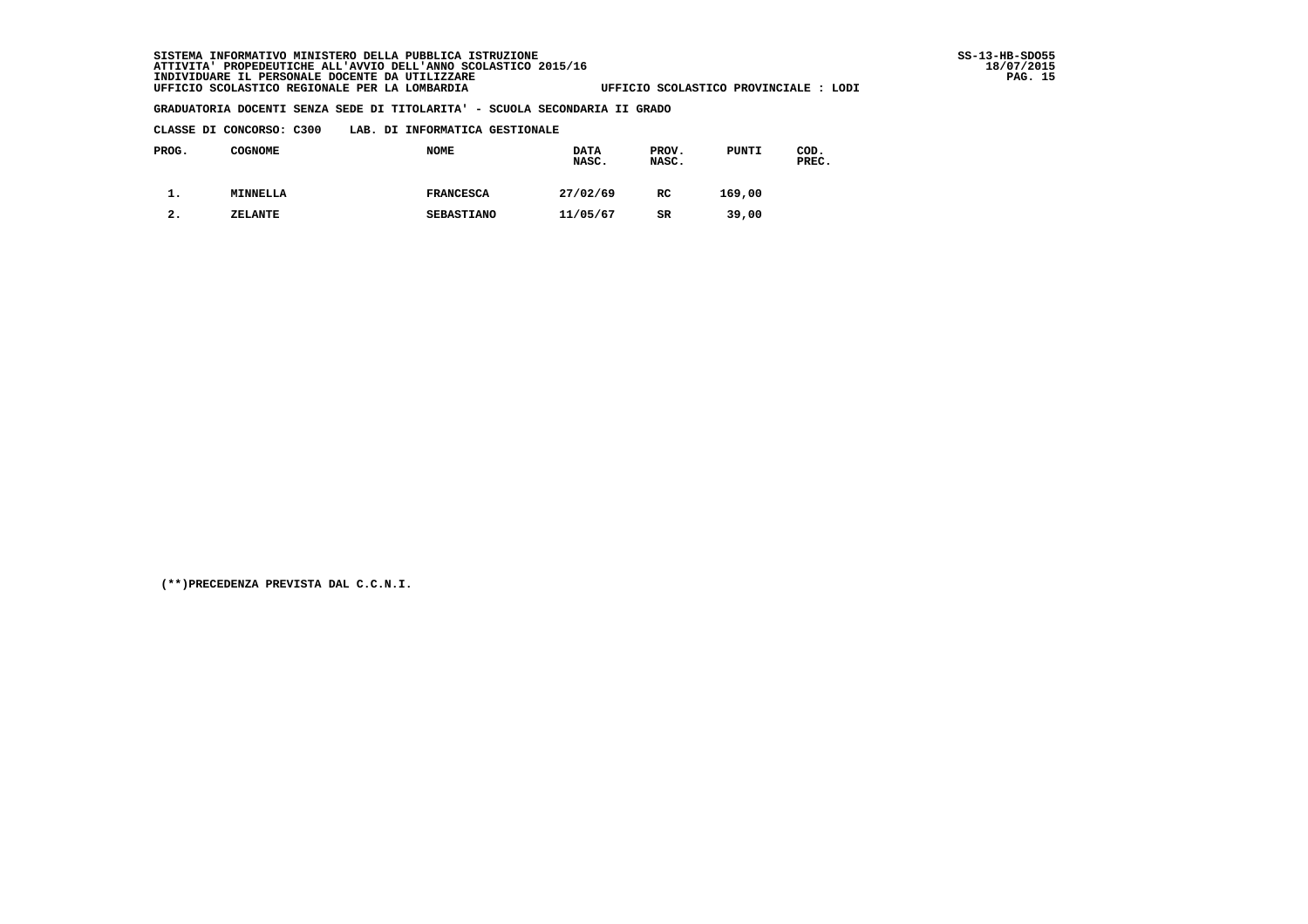| CLASSE DI CONCORSO: C300 |  |  | LAB. DI INFORMATICA GESTIONALE |  |
|--------------------------|--|--|--------------------------------|--|
|--------------------------|--|--|--------------------------------|--|

| PROG. | <b>COGNOME</b> | <b>NOME</b>       | <b>DATA</b><br>NASC. | PROV.<br>NASC. | PUNTI  | COD.<br>PREC. |
|-------|----------------|-------------------|----------------------|----------------|--------|---------------|
| . ـ   | MINNELLA       | <b>FRANCESCA</b>  | 27/02/69             | RC             | 169,00 |               |
| 2.    | ZELANTE        | <b>SEBASTIANO</b> | 11/05/67             | SR             | 39,00  |               |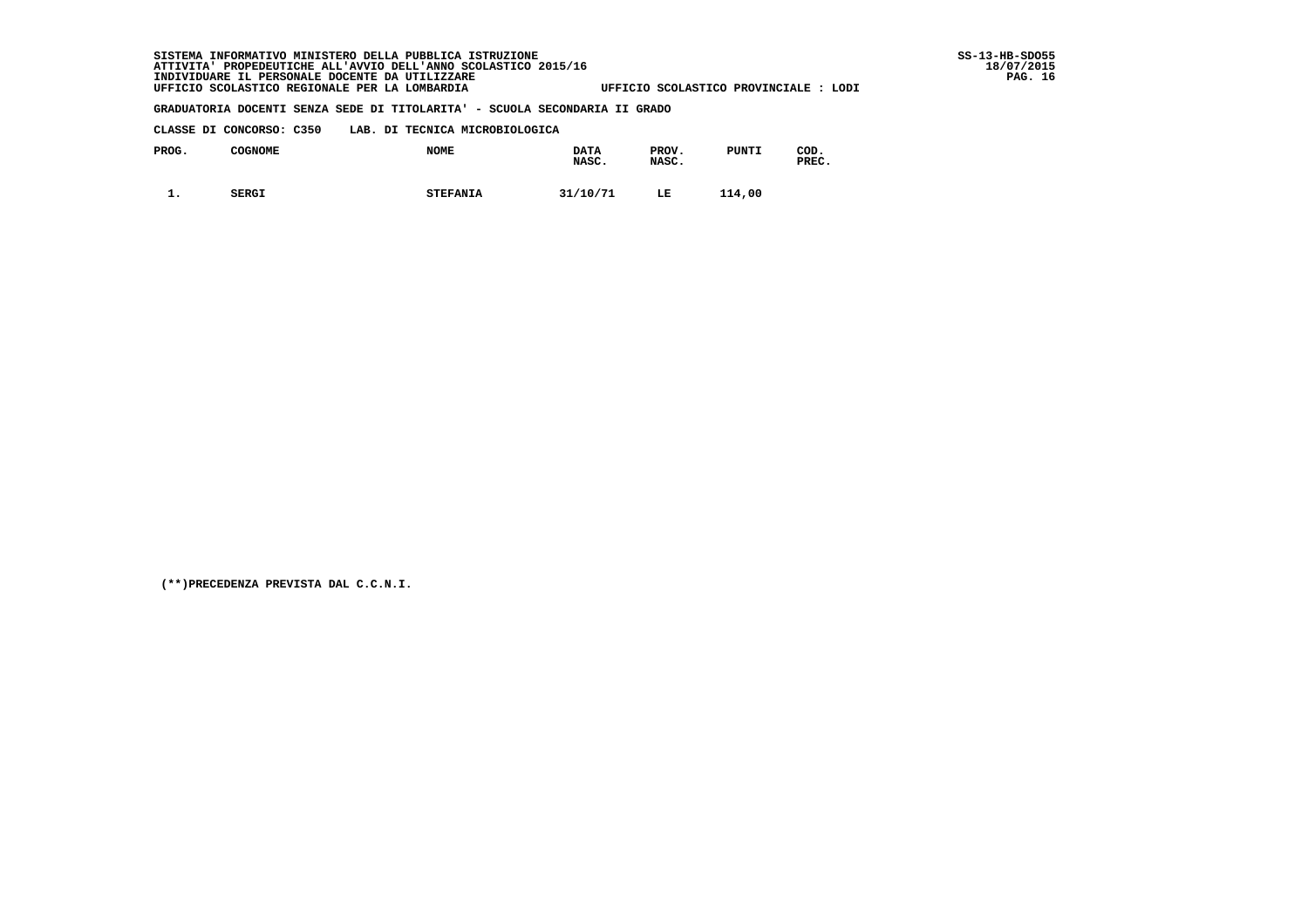| CLASSE DI CONCORSO: C350 |  |  |  | LAB. DI TECNICA MICROBIOLOGICA |
|--------------------------|--|--|--|--------------------------------|
|--------------------------|--|--|--|--------------------------------|

| PROG.    | COGNOME      | <b>NOME</b>     | <b>DATA</b><br>NASC. | PROV.<br>NASC. | <b>PUNTI</b> | COD.<br>PREC. |
|----------|--------------|-----------------|----------------------|----------------|--------------|---------------|
| <b>.</b> | <b>SERGI</b> | <b>STEFANIA</b> | 31/10/71             | LE             | 114,00       |               |